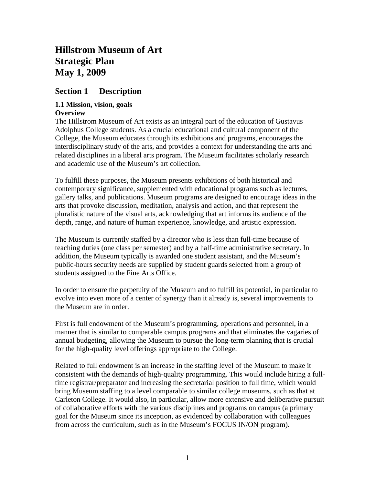# **Hillstrom Museum of Art Strategic Plan May 1, 2009**

# **Section 1 Description**

### **1.1 Mission, vision, goals Overview**

The Hillstrom Museum of Art exists as an integral part of the education of Gustavus Adolphus College students. As a crucial educational and cultural component of the College, the Museum educates through its exhibitions and programs, encourages the interdisciplinary study of the arts, and provides a context for understanding the arts and related disciplines in a liberal arts program. The Museum facilitates scholarly research and academic use of the Museum's art collection.

To fulfill these purposes, the Museum presents exhibitions of both historical and contemporary significance, supplemented with educational programs such as lectures, gallery talks, and publications. Museum programs are designed to encourage ideas in the arts that provoke discussion, meditation, analysis and action, and that represent the pluralistic nature of the visual arts, acknowledging that art informs its audience of the depth, range, and nature of human experience, knowledge, and artistic expression.

The Museum is currently staffed by a director who is less than full-time because of teaching duties (one class per semester) and by a half-time administrative secretary. In addition, the Museum typically is awarded one student assistant, and the Museum's public-hours security needs are supplied by student guards selected from a group of students assigned to the Fine Arts Office.

In order to ensure the perpetuity of the Museum and to fulfill its potential, in particular to evolve into even more of a center of synergy than it already is, several improvements to the Museum are in order.

First is full endowment of the Museum's programming, operations and personnel, in a manner that is similar to comparable campus programs and that eliminates the vagaries of annual budgeting, allowing the Museum to pursue the long-term planning that is crucial for the high-quality level offerings appropriate to the College.

Related to full endowment is an increase in the staffing level of the Museum to make it consistent with the demands of high-quality programming. This would include hiring a fulltime registrar/preparator and increasing the secretarial position to full time, which would bring Museum staffing to a level comparable to similar college museums, such as that at Carleton College. It would also, in particular, allow more extensive and deliberative pursuit of collaborative efforts with the various disciplines and programs on campus (a primary goal for the Museum since its inception, as evidenced by collaboration with colleagues from across the curriculum, such as in the Museum's FOCUS IN/ON program).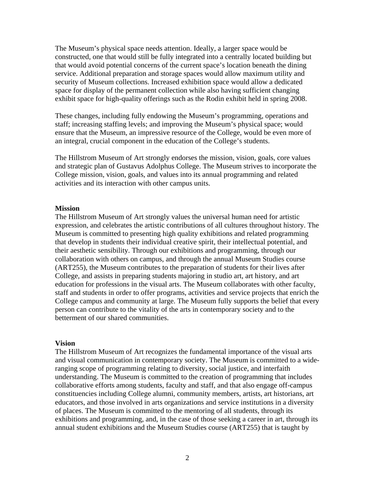The Museum's physical space needs attention. Ideally, a larger space would be constructed, one that would still be fully integrated into a centrally located building but that would avoid potential concerns of the current space's location beneath the dining service. Additional preparation and storage spaces would allow maximum utility and security of Museum collections. Increased exhibition space would allow a dedicated space for display of the permanent collection while also having sufficient changing exhibit space for high-quality offerings such as the Rodin exhibit held in spring 2008.

These changes, including fully endowing the Museum's programming, operations and staff; increasing staffing levels; and improving the Museum's physical space; would ensure that the Museum, an impressive resource of the College, would be even more of an integral, crucial component in the education of the College's students.

The Hillstrom Museum of Art strongly endorses the mission, vision, goals, core values and strategic plan of Gustavus Adolphus College. The Museum strives to incorporate the College mission, vision, goals, and values into its annual programming and related activities and its interaction with other campus units.

#### **Mission**

The Hillstrom Museum of Art strongly values the universal human need for artistic expression, and celebrates the artistic contributions of all cultures throughout history. The Museum is committed to presenting high quality exhibitions and related programming that develop in students their individual creative spirit, their intellectual potential, and their aesthetic sensibility. Through our exhibitions and programming, through our collaboration with others on campus, and through the annual Museum Studies course (ART255), the Museum contributes to the preparation of students for their lives after College, and assists in preparing students majoring in studio art, art history, and art education for professions in the visual arts. The Museum collaborates with other faculty, staff and students in order to offer programs, activities and service projects that enrich the College campus and community at large. The Museum fully supports the belief that every person can contribute to the vitality of the arts in contemporary society and to the betterment of our shared communities.

#### **Vision**

The Hillstrom Museum of Art recognizes the fundamental importance of the visual arts and visual communication in contemporary society. The Museum is committed to a wideranging scope of programming relating to diversity, social justice, and interfaith understanding. The Museum is committed to the creation of programming that includes collaborative efforts among students, faculty and staff, and that also engage off-campus constituencies including College alumni, community members, artists, art historians, art educators, and those involved in arts organizations and service institutions in a diversity of places. The Museum is committed to the mentoring of all students, through its exhibitions and programming, and, in the case of those seeking a career in art, through its annual student exhibitions and the Museum Studies course (ART255) that is taught by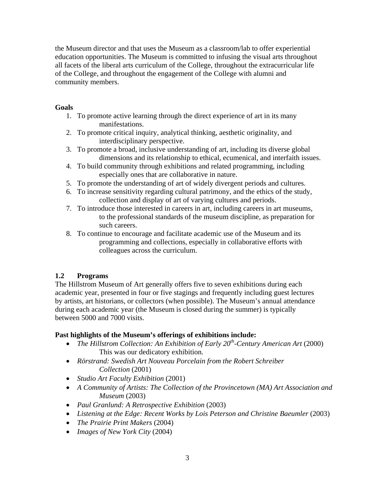the Museum director and that uses the Museum as a classroom/lab to offer experiential education opportunities. The Museum is committed to infusing the visual arts throughout all facets of the liberal arts curriculum of the College, throughout the extracurricular life of the College, and throughout the engagement of the College with alumni and community members.

# **Goals**

- 1. To promote active learning through the direct experience of art in its many manifestations.
- 2. To promote critical inquiry, analytical thinking, aesthetic originality, and interdisciplinary perspective.
- 3. To promote a broad, inclusive understanding of art, including its diverse global dimensions and its relationship to ethical, ecumenical, and interfaith issues.
- 4. To build community through exhibitions and related programming, including especially ones that are collaborative in nature.
- 5. To promote the understanding of art of widely divergent periods and cultures.
- 6. To increase sensitivity regarding cultural patrimony, and the ethics of the study, collection and display of art of varying cultures and periods.
- 7. To introduce those interested in careers in art, including careers in art museums, to the professional standards of the museum discipline, as preparation for such careers.
- 8. To continue to encourage and facilitate academic use of the Museum and its programming and collections, especially in collaborative efforts with colleagues across the curriculum.

# **1.2 Programs**

The Hillstrom Museum of Art generally offers five to seven exhibitions during each academic year, presented in four or five stagings and frequently including guest lectures by artists, art historians, or collectors (when possible). The Museum's annual attendance during each academic year (the Museum is closed during the summer) is typically between 5000 and 7000 visits.

# **Past highlights of the Museum's offerings of exhibitions include:**

- The Hillstrom Collection: An Exhibition of Early 20<sup>th</sup>-Century American Art (2000) This was our dedicatory exhibition.
- *Rörstrand: Swedish Art Nouveau Porcelain from the Robert Schreiber Collection* (2001)
- *Studio Art Faculty Exhibition* (2001)
- *A Community of Artists: The Collection of the Provincetown (MA) Art Association and Museum* (2003)
- *Paul Granlund: A Retrospective Exhibition* (2003)
- *Listening at the Edge: Recent Works by Lois Peterson and Christine Baeumler* (2003)
- *The Prairie Print Makers* (2004)
- *Images of New York City* (2004)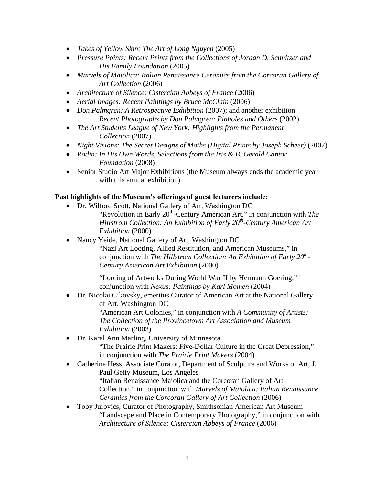- *Takes of Yellow Skin: The Art of Long Nguyen* (2005)
- *Pressure Points: Recent Prints from the Collections of Jordan D. Schnitzer and His Family Foundation* (2005)
- *Marvels of Maiolica: Italian Renaissance Ceramics from the Corcoran Gallery of Art Collection* (2006)
- *Architecture of Silence: Cistercian Abbeys of France* (2006)
- *Aerial Images: Recent Paintings by Bruce McClain* (2006)
- *Don Palmgren: A Retrospective Exhibition (2007)*; and another exhibition *Recent Photographs by Don Palmgren: Pinholes and Others* (2002)
- *The Art Students League of New York: Highlights from the Permanent Collection* (2007)
- *Night Visions: The Secret Designs of Moths (Digital Prints by Joseph Scheer)* (2007)
- *Rodin: In His Own Words, Selections from the Iris & B. Gerald Cantor Foundation* (2008)
- Senior Studio Art Major Exhibitions (the Museum always ends the academic year with this annual exhibition)

# **Past highlights of the Museum's offerings of guest lecturers include:**

- Dr. Wilford Scott, National Gallery of Art, Washington DC "Revolution in Early 20<sup>th</sup>-Century American Art," in conjunction with *The Hillstrom Collection: An Exhibition of Early 20<sup>th</sup>-Century American Art Exhibition* (2000)
- Nancy Yeide, National Gallery of Art, Washington DC "Nazi Art Looting, Allied Restitution, and American Museums," in conjunction with *The Hillstrom Collection: An Exhibition of Early 20<sup>th</sup>-Century American Art Exhibition* (2000)

"Looting of Artworks During World War II by Hermann Goering," in conjunction with *Nexus: Paintings by Karl Momen* (2004)

- Dr. Nicolai Cikovsky, emeritus Curator of American Art at the National Gallery of Art, Washington DC "American Art Colonies," in conjunction with *A Community of Artists: The Collection of the Provincetown Art Association and Museum Exhibition* (2003)
- Dr. Karal Ann Marling, University of Minnesota "The Prairie Print Makers: Five-Dollar Culture in the Great Depression," in conjunction with *The Prairie Print Makers* (2004)
- Catherine Hess, Associate Curator, Department of Sculpture and Works of Art, J. Paul Getty Museum, Los Angeles "Italian Renaissance Maiolica and the Corcoran Gallery of Art Collection," in conjunction with *Marvels of Maiolica: Italian Renaissance Ceramics from the Corcoran Gallery of Art Collection* (2006)
- Toby Jurovics, Curator of Photography, Smithsonian American Art Museum "Landscape and Place in Contemporary Photography," in conjunction with *Architecture of Silence: Cistercian Abbeys of France* (2006)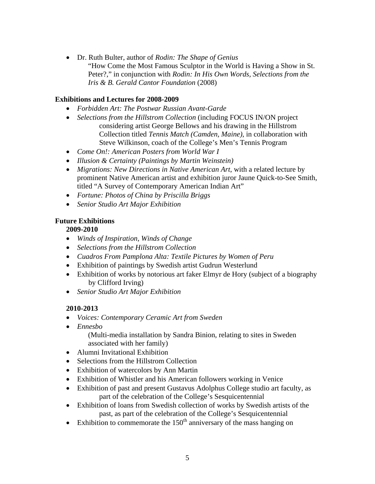Dr. Ruth Bulter, author of *Rodin: The Shape of Genius* "How Come the Most Famous Sculptor in the World is Having a Show in St. Peter?," in conjunction with *Rodin: In His Own Words, Selections from the Iris & B. Gerald Cantor Foundation* (2008)

# **Exhibitions and Lectures for 2008-2009**

- *Forbidden Art: The Postwar Russian Avant-Garde*
- *Selections from the Hillstrom Collection* (including FOCUS IN/ON project considering artist George Bellows and his drawing in the Hillstrom Collection titled *Tennis Match (Camden, Maine)*, in collaboration with Steve Wilkinson, coach of the College's Men's Tennis Program
- *Come On!: American Posters from World War I*
- *Illusion & Certainty (Paintings by Martin Weinstein)*
- *Migrations: New Directions in Native American Art*, with a related lecture by prominent Native American artist and exhibition juror Jaune Quick-to-See Smith, titled "A Survey of Contemporary American Indian Art"
- *Fortune: Photos of China by Priscilla Briggs*
- *Senior Studio Art Major Exhibition*

# **Future Exhibitions**

**2009-2010** 

- *Winds of Inspiration, Winds of Change*
- *Selections from the Hillstrom Collection*
- *Cuadros From Pamplona Alta: Textile Pictures by Women of Peru*
- Exhibition of paintings by Swedish artist Gudrun Westerlund
- Exhibition of works by notorious art faker Elmyr de Hory (subject of a biography by Clifford Irving)
- *Senior Studio Art Major Exhibition*

# **2010-2013**

- *Voices: Contemporary Ceramic Art from Sweden*
- *Ennesbo*

(Multi-media installation by Sandra Binion, relating to sites in Sweden associated with her family)

- Alumni Invitational Exhibition
- Selections from the Hillstrom Collection
- Exhibition of watercolors by Ann Martin
- Exhibition of Whistler and his American followers working in Venice
- Exhibition of past and present Gustavus Adolphus College studio art faculty, as part of the celebration of the College's Sesquicentennial
- Exhibition of loans from Swedish collection of works by Swedish artists of the past, as part of the celebration of the College's Sesquicentennial
- Exhibition to commemorate the  $150<sup>th</sup>$  anniversary of the mass hanging on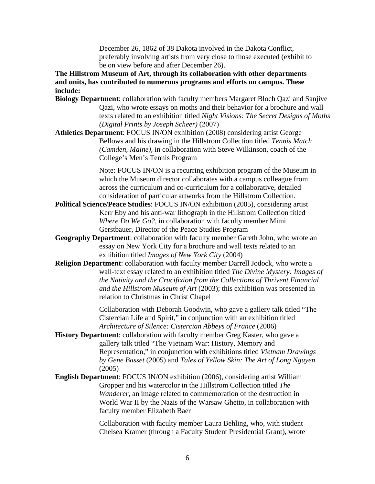December 26, 1862 of 38 Dakota involved in the Dakota Conflict, preferably involving artists from very close to those executed (exhibit to be on view before and after December 26).

**The Hillstrom Museum of Art, through its collaboration with other departments and units, has contributed to numerous programs and efforts on campus. These include:** 

- **Biology Department**: collaboration with faculty members Margaret Bloch Qazi and Sanjive Qazi, who wrote essays on moths and their behavior for a brochure and wall texts related to an exhibition titled *Night Visions: The Secret Designs of Moths (Digital Prints by Joseph Scheer)* (2007)
- **Athletics Department**: FOCUS IN/ON exhibition (2008) considering artist George Bellows and his drawing in the Hillstrom Collection titled *Tennis Match (Camden, Maine)*, in collaboration with Steve Wilkinson, coach of the College's Men's Tennis Program

Note: FOCUS IN/ON is a recurring exhibition program of the Museum in which the Museum director collaborates with a campus colleague from across the curriculum and co-curriculum for a collaborative, detailed consideration of particular artworks from the Hillstrom Collection.

- **Political Science/Peace Studies**: FOCUS IN/ON exhibition (2005)*,* considering artist Kerr Eby and his anti-war lithograph in the Hillstrom Collection titled *Where Do We Go?,* in collaboration with faculty member Mimi Gerstbauer, Director of the Peace Studies Program
- **Geography Department**: collaboration with faculty member Gareth John, who wrote an essay on New York City for a brochure and wall texts related to an exhibition titled *Images of New York City* (2004)
- **Religion Department**: collaboration with faculty member Darrell Jodock, who wrote a wall-text essay related to an exhibition titled *The Divine Mystery: Images of the Nativity and the Crucifixion from the Collections of Thrivent Financial and the Hillstrom Museum of Art* (2003); this exhibition was presented in relation to Christmas in Christ Chapel

 Collaboration with Deborah Goodwin, who gave a gallery talk titled "The Cistercian Life and Spirit," in conjunction with an exhibition titled *Architecture of Silence: Cistercian Abbeys of France* (2006)

- **History Department**: collaboration with faculty member Greg Kaster, who gave a gallery talk titled "The Vietnam War: History, Memory and Representation," in conjunction with exhibitions titled *Vietnam Drawings by Gene Basset* (2005) and *Tales of Yellow Skin: The Art of Long Nguyen* (2005)
- **English Department**: FOCUS IN/ON exhibition (2006), considering artist William Gropper and his watercolor in the Hillstrom Collection titled *The Wanderer,* an image related to commemoration of the destruction in World War II by the Nazis of the Warsaw Ghetto, in collaboration with faculty member Elizabeth Baer

 Collaboration with faculty member Laura Behling, who, with student Chelsea Kramer (through a Faculty Student Presidential Grant), wrote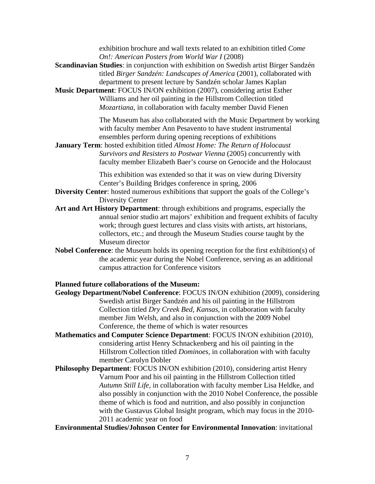exhibition brochure and wall texts related to an exhibition titled *Come On!: American Posters from World War I* (2008)

- **Scandinavian Studies**: in conjunction with exhibition on Swedish artist Birger Sandzén titled *Birger Sandzén: Landscapes of America* (2001), collaborated with department to present lecture by Sandzén scholar James Kaplan
- **Music Department**: FOCUS IN/ON exhibition (2007), considering artist Esther Williams and her oil painting in the Hillstrom Collection titled *Mozartiana*, in collaboration with faculty member David Fienen

 The Museum has also collaborated with the Music Department by working with faculty member Ann Pesavento to have student instrumental ensembles perform during opening receptions of exhibitions

**January Term**: hosted exhibition titled *Almost Home: The Return of Holocaust Survivors and Resisters to Postwar Vienna* (2005) concurrently with faculty member Elizabeth Baer's course on Genocide and the Holocaust

> This exhibition was extended so that it was on view during Diversity Center's Building Bridges conference in spring, 2006

- **Diversity Center:** hosted numerous exhibitions that support the goals of the College's Diversity Center
- **Art and Art History Department**: through exhibitions and programs, especially the annual senior studio art majors' exhibition and frequent exhibits of faculty work; through guest lectures and class visits with artists, art historians, collectors, etc.; and through the Museum Studies course taught by the Museum director
- **Nobel Conference**: the Museum holds its opening reception for the first exhibition(s) of the academic year during the Nobel Conference, serving as an additional campus attraction for Conference visitors

#### **Planned future collaborations of the Museum:**

- **Geology Department/Nobel Conference**: FOCUS IN/ON exhibition (2009), considering Swedish artist Birger Sandzén and his oil painting in the Hillstrom Collection titled *Dry Creek Bed, Kansas,* in collaboration with faculty member Jim Welsh, and also in conjunction with the 2009 Nobel Conference, the theme of which is water resources
- **Mathematics and Computer Science Department**: FOCUS IN/ON exhibition (2010)*,* considering artist Henry Schnackenberg and his oil painting in the Hillstrom Collection titled *Dominoes,* in collaboration with with faculty member Carolyn Dobler
- **Philosophy Department**: FOCUS IN/ON exhibition (2010)*,* considering artist Henry Varnum Poor and his oil painting in the Hillstrom Collection titled *Autumn Still Life,* in collaboration with faculty member Lisa Heldke, and also possibly in conjunction with the 2010 Nobel Conference, the possible theme of which is food and nutrition, and also possibly in conjunction with the Gustavus Global Insight program, which may focus in the 2010- 2011 academic year on food

**Environmental Studies/Johnson Center for Environmental Innovation**: invitational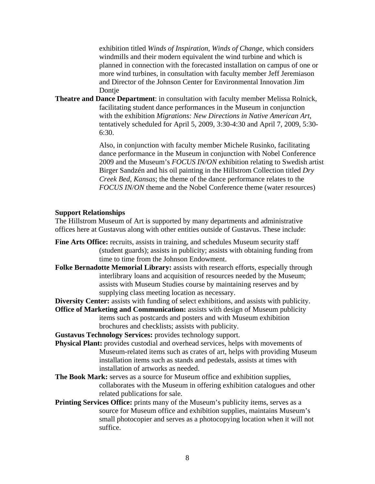exhibition titled *Winds of Inspiration, Winds of Change*, which considers windmills and their modern equivalent the wind turbine and which is planned in connection with the forecasted installation on campus of one or more wind turbines, in consultation with faculty member Jeff Jeremiason and Director of the Johnson Center for Environmental Innovation Jim Dontje

**Theatre and Dance Department**: in consultation with faculty member Melissa Rolnick, facilitating student dance performances in the Museum in conjunction with the exhibition *Migrations: New Directions in Native American Art*, tentatively scheduled for April 5, 2009, 3:30-4:30 and April 7, 2009, 5:30- 6:30.

> Also, in conjunction with faculty member Michele Rusinko, facilitating dance performance in the Museum in conjunction with Nobel Conference 2009 and the Museum's *FOCUS IN/ON* exhibition relating to Swedish artist Birger Sandzén and his oil painting in the Hillstrom Collection titled *Dry Creek Bed, Kansas*; the theme of the dance performance relates to the *FOCUS IN/ON* theme and the Nobel Conference theme (water resources)

#### **Support Relationships**

The Hillstrom Museum of Art is supported by many departments and administrative offices here at Gustavus along with other entities outside of Gustavus. These include:

- **Fine Arts Office:** recruits, assists in training, and schedules Museum security staff (student guards); assists in publicity; assists with obtaining funding from time to time from the Johnson Endowment.
- **Folke Bernadotte Memorial Library:** assists with research efforts, especially through interlibrary loans and acquisition of resources needed by the Museum; assists with Museum Studies course by maintaining reserves and by supplying class meeting location as necessary.

**Diversity Center:** assists with funding of select exhibitions, and assists with publicity.

**Office of Marketing and Communication:** assists with design of Museum publicity items such as postcards and posters and with Museum exhibition brochures and checklists; assists with publicity.

**Gustavus Technology Services:** provides technology support.

- **Physical Plant:** provides custodial and overhead services, helps with movements of Museum-related items such as crates of art, helps with providing Museum installation items such as stands and pedestals, assists at times with installation of artworks as needed.
- **The Book Mark:** serves as a source for Museum office and exhibition supplies, collaborates with the Museum in offering exhibition catalogues and other related publications for sale.
- **Printing Services Office:** prints many of the Museum's publicity items, serves as a source for Museum office and exhibition supplies, maintains Museum's small photocopier and serves as a photocopying location when it will not suffice.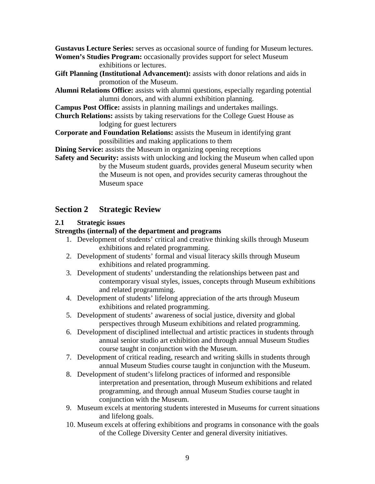**Gustavus Lecture Series:** serves as occasional source of funding for Museum lectures. **Women's Studies Program:** occasionally provides support for select Museum

exhibitions or lectures.

- **Gift Planning (Institutional Advancement):** assists with donor relations and aids in promotion of the Museum.
- **Alumni Relations Office:** assists with alumni questions, especially regarding potential alumni donors, and with alumni exhibition planning.
- **Campus Post Office:** assists in planning mailings and undertakes mailings.
- **Church Relations:** assists by taking reservations for the College Guest House as lodging for guest lecturers
- **Corporate and Foundation Relations:** assists the Museum in identifying grant possibilities and making applications to them

**Dining Service:** assists the Museum in organizing opening receptions

**Safety and Security:** assists with unlocking and locking the Museum when called upon by the Museum student guards, provides general Museum security when the Museum is not open, and provides security cameras throughout the Museum space

# **Section 2 Strategic Review**

# **2.1 Strategic issues**

# **Strengths (internal) of the department and programs**

- 1. Development of students' critical and creative thinking skills through Museum exhibitions and related programming.
- 2. Development of students' formal and visual literacy skills through Museum exhibitions and related programming.
- 3. Development of students' understanding the relationships between past and contemporary visual styles, issues, concepts through Museum exhibitions and related programming.
- 4. Development of students' lifelong appreciation of the arts through Museum exhibitions and related programming.
- 5. Development of students' awareness of social justice, diversity and global perspectives through Museum exhibitions and related programming.
- 6. Development of disciplined intellectual and artistic practices in students through annual senior studio art exhibition and through annual Museum Studies course taught in conjunction with the Museum.
- 7. Development of critical reading, research and writing skills in students through annual Museum Studies course taught in conjunction with the Museum.
- 8. Development of student's lifelong practices of informed and responsible interpretation and presentation, through Museum exhibitions and related programming, and through annual Museum Studies course taught in conjunction with the Museum.
- 9. Museum excels at mentoring students interested in Museums for current situations and lifelong goals.
- 10. Museum excels at offering exhibitions and programs in consonance with the goals of the College Diversity Center and general diversity initiatives.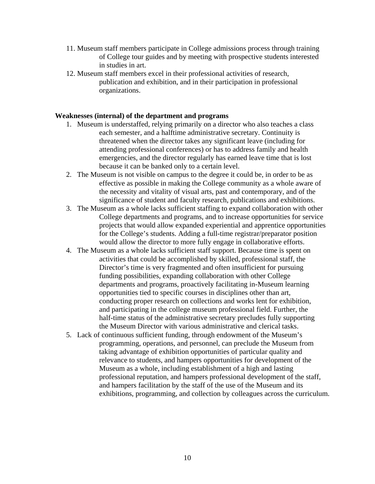- 11. Museum staff members participate in College admissions process through training of College tour guides and by meeting with prospective students interested in studies in art.
- 12. Museum staff members excel in their professional activities of research, publication and exhibition, and in their participation in professional organizations.

### **Weaknesses (internal) of the department and programs**

- 1. Museum is understaffed, relying primarily on a director who also teaches a class each semester, and a halftime administrative secretary. Continuity is threatened when the director takes any significant leave (including for attending professional conferences) or has to address family and health emergencies, and the director regularly has earned leave time that is lost because it can be banked only to a certain level.
- 2. The Museum is not visible on campus to the degree it could be, in order to be as effective as possible in making the College community as a whole aware of the necessity and vitality of visual arts, past and contemporary, and of the significance of student and faculty research, publications and exhibitions.
- 3. The Museum as a whole lacks sufficient staffing to expand collaboration with other College departments and programs, and to increase opportunities for service projects that would allow expanded experiential and apprentice opportunities for the College's students. Adding a full-time registrar/preparator position would allow the director to more fully engage in collaborative efforts.
- 4. The Museum as a whole lacks sufficient staff support. Because time is spent on activities that could be accomplished by skilled, professional staff, the Director's time is very fragmented and often insufficient for pursuing funding possibilities, expanding collaboration with other College departments and programs, proactively facilitating in-Museum learning opportunities tied to specific courses in disciplines other than art, conducting proper research on collections and works lent for exhibition, and participating in the college museum professional field. Further, the half-time status of the administrative secretary precludes fully supporting the Museum Director with various administrative and clerical tasks.
- 5. Lack of continuous sufficient funding, through endowment of the Museum's programming, operations, and personnel, can preclude the Museum from taking advantage of exhibition opportunities of particular quality and relevance to students, and hampers opportunities for development of the Museum as a whole, including establishment of a high and lasting professional reputation, and hampers professional development of the staff, and hampers facilitation by the staff of the use of the Museum and its exhibitions, programming, and collection by colleagues across the curriculum.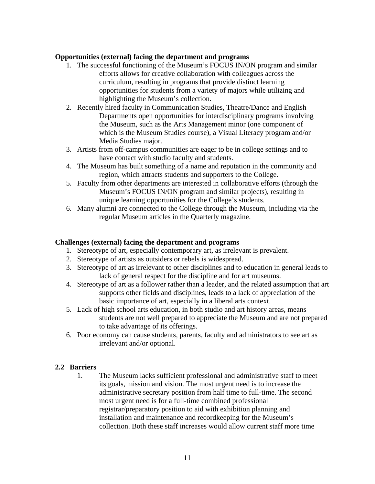### **Opportunities (external) facing the department and programs**

- 1. The successful functioning of the Museum's FOCUS IN/ON program and similar efforts allows for creative collaboration with colleagues across the curriculum, resulting in programs that provide distinct learning opportunities for students from a variety of majors while utilizing and highlighting the Museum's collection.
- 2. Recently hired faculty in Communication Studies, Theatre/Dance and English Departments open opportunities for interdisciplinary programs involving the Museum, such as the Arts Management minor (one component of which is the Museum Studies course), a Visual Literacy program and/or Media Studies major.
- 3. Artists from off-campus communities are eager to be in college settings and to have contact with studio faculty and students.
- 4. The Museum has built something of a name and reputation in the community and region, which attracts students and supporters to the College.
- 5. Faculty from other departments are interested in collaborative efforts (through the Museum's FOCUS IN/ON program and similar projects), resulting in unique learning opportunities for the College's students.
- 6. Many alumni are connected to the College through the Museum, including via the regular Museum articles in the Quarterly magazine.

### **Challenges (external) facing the department and programs**

- 1. Stereotype of art, especially contemporary art, as irrelevant is prevalent.
- 2. Stereotype of artists as outsiders or rebels is widespread.
- 3. Stereotype of art as irrelevant to other disciplines and to education in general leads to lack of general respect for the discipline and for art museums.
- 4. Stereotype of art as a follower rather than a leader, and the related assumption that art supports other fields and disciplines, leads to a lack of appreciation of the basic importance of art, especially in a liberal arts context.
- 5. Lack of high school arts education, in both studio and art history areas, means students are not well prepared to appreciate the Museum and are not prepared to take advantage of its offerings.
- 6. Poor economy can cause students, parents, faculty and administrators to see art as irrelevant and/or optional.

# **2.2 Barriers**

1. The Museum lacks sufficient professional and administrative staff to meet its goals, mission and vision. The most urgent need is to increase the administrative secretary position from half time to full-time. The second most urgent need is for a full-time combined professional registrar/preparatory position to aid with exhibition planning and installation and maintenance and recordkeeping for the Museum's collection. Both these staff increases would allow current staff more time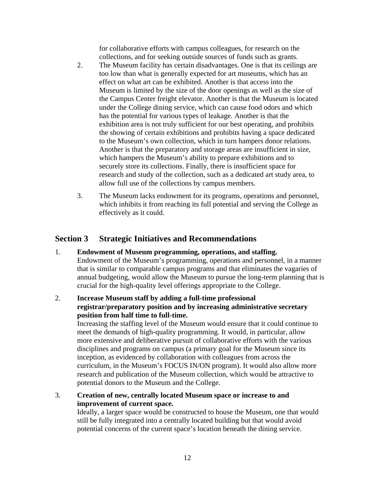for collaborative efforts with campus colleagues, for research on the collections, and for seeking outside sources of funds such as grants.

- 2. The Museum facility has certain disadvantages. One is that its ceilings are too low than what is generally expected for art museums, which has an effect on what art can be exhibited. Another is that access into the Museum is limited by the size of the door openings as well as the size of the Campus Center freight elevator. Another is that the Museum is located under the College dining service, which can cause food odors and which has the potential for various types of leakage. Another is that the exhibition area is not truly sufficient for our best operating, and prohibits the showing of certain exhibitions and prohibits having a space dedicated to the Museum's own collection, which in turn hampers donor relations. Another is that the preparatory and storage areas are insufficient in size, which hampers the Museum's ability to prepare exhibitions and to securely store its collections. Finally, there is insufficient space for research and study of the collection, such as a dedicated art study area, to allow full use of the collections by campus members.
- 3. The Museum lacks endowment for its programs, operations and personnel, which inhibits it from reaching its full potential and serving the College as effectively as it could.

# **Section 3 Strategic Initiatives and Recommendations**

- 1. **Endowment of Museum programming, operations, and staffing.** Endowment of the Museum's programming, operations and personnel, in a manner that is similar to comparable campus programs and that eliminates the vagaries of annual budgeting, would allow the Museum to pursue the long-term planning that is crucial for the high-quality level offerings appropriate to the College.
- 2. **Increase Museum staff by adding a full-time professional registrar/preparatory position and by increasing administrative secretary position from half time to full-time.**

Increasing the staffing level of the Museum would ensure that it could continue to meet the demands of high-quality programming. It would, in particular, allow more extensive and deliberative pursuit of collaborative efforts with the various disciplines and programs on campus (a primary goal for the Museum since its inception, as evidenced by collaboration with colleagues from across the curriculum, in the Museum's FOCUS IN/ON program). It would also allow more research and publication of the Museum collection, which would be attractive to potential donors to the Museum and the College.

3. **Creation of new, centrally located Museum space or increase to and improvement of current space.**

Ideally, a larger space would be constructed to house the Museum, one that would still be fully integrated into a centrally located building but that would avoid potential concerns of the current space's location beneath the dining service.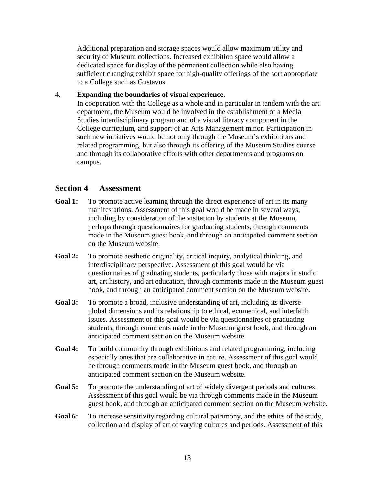Additional preparation and storage spaces would allow maximum utility and security of Museum collections. Increased exhibition space would allow a dedicated space for display of the permanent collection while also having sufficient changing exhibit space for high-quality offerings of the sort appropriate to a College such as Gustavus.

### 4. **Expanding the boundaries of visual experience.**

In cooperation with the College as a whole and in particular in tandem with the art department, the Museum would be involved in the establishment of a Media Studies interdisciplinary program and of a visual literacy component in the College curriculum, and support of an Arts Management minor. Participation in such new initiatives would be not only through the Museum's exhibitions and related programming, but also through its offering of the Museum Studies course and through its collaborative efforts with other departments and programs on campus.

# **Section 4 Assessment**

- Goal 1: To promote active learning through the direct experience of art in its many manifestations. Assessment of this goal would be made in several ways, including by consideration of the visitation by students at the Museum, perhaps through questionnaires for graduating students, through comments made in the Museum guest book, and through an anticipated comment section on the Museum website.
- **Goal 2:** To promote aesthetic originality, critical inquiry, analytical thinking, and interdisciplinary perspective. Assessment of this goal would be via questionnaires of graduating students, particularly those with majors in studio art, art history, and art education, through comments made in the Museum guest book, and through an anticipated comment section on the Museum website.
- **Goal 3:** To promote a broad, inclusive understanding of art, including its diverse global dimensions and its relationship to ethical, ecumenical, and interfaith issues. Assessment of this goal would be via questionnaires of graduating students, through comments made in the Museum guest book, and through an anticipated comment section on the Museum website.
- **Goal 4:** To build community through exhibitions and related programming, including especially ones that are collaborative in nature. Assessment of this goal would be through comments made in the Museum guest book, and through an anticipated comment section on the Museum website.
- **Goal 5:** To promote the understanding of art of widely divergent periods and cultures. Assessment of this goal would be via through comments made in the Museum guest book, and through an anticipated comment section on the Museum website.
- Goal 6: To increase sensitivity regarding cultural patrimony, and the ethics of the study, collection and display of art of varying cultures and periods. Assessment of this